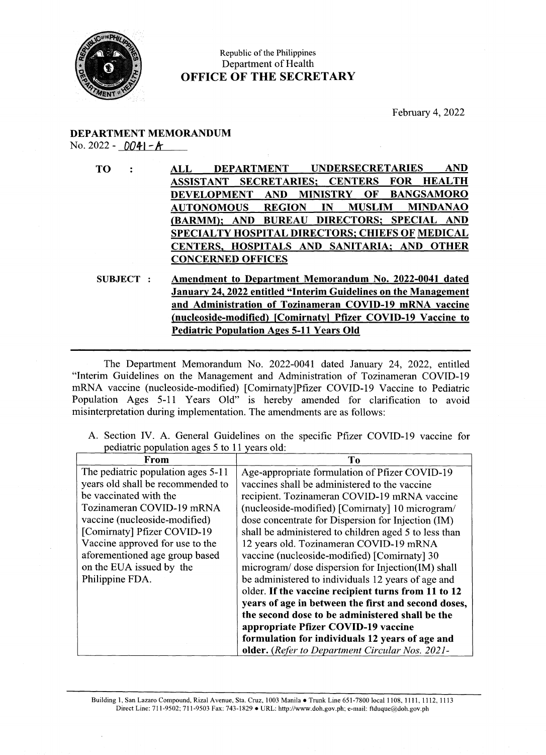

## Republic of the Philippines Department of Health OFFICE OF THE SECRETARY

## DEPARTMENT MEMORANDUM No. 2022 -  $DQ4$ |-A

|  |  |                                              |  |  | A. Section IV. A. General Guidelines on the specific Pfizer COVID-19 vaccine for |  |
|--|--|----------------------------------------------|--|--|----------------------------------------------------------------------------------|--|
|  |  | pediatric population ages 5 to 11 years old: |  |  |                                                                                  |  |

| <b>CONCERNED OFFICES</b><br>Amendment to Department Memorandum No. 2022-0041 dated<br><b>SUBJECT :</b><br>January 24, 2022 entitled "Interim Guidelines on the Management<br>and Administration of Tozinameran COVID-19 mRNA vaccine<br>(nucleoside-modified) [Comirnaty] Pfizer COVID-19 Vaccine to<br><b>Pediatric Population Ages 5-11 Years Old</b><br>The Department Memorandum No. 2022-0041 dated January 24, 2022, entitled<br>"Interim Guidelines on the Management and Administration of Tozinameran COVID-19<br>mRNA vaccine (nucleoside-modified) [Comirnaty]Pfizer COVID-19 Vaccine to Pediatric<br>Population Ages 5-11 Years Old" is hereby amended for clarification to avoid<br>misinterpretation during implementation. The amendments are as follows:<br>A. Section IV. A. General Guidelines on the specific Pfizer COVID-19 vaccine for<br>pediatric population ages 5 to 11 years old:<br>From<br>To<br>The pediatric population ages 5-11<br>Age-appropriate formulation of Pfizer COVID-19<br>years old shall be recommended to<br>vaccines shall be administered to the vaccine<br>be vaccinated with the<br>recipient. Tozinameran COVID-19 mRNA vaccine<br>Tozinameran COVID-19 mRNA<br>(nucleoside-modified) [Comirnaty] 10 microgram/<br>vaccine (nucleoside-modified)<br>dose concentrate for Dispersion for Injection (IM)<br>[Comirnaty] Pfizer COVID-19<br>shall be administered to children aged 5 to less than<br>Vaccine approved for use to the<br>12 years old. Tozinameran COVID-19 mRNA<br>aforementioned age group based<br>vaccine (nucleoside-modified) [Comirnaty] 30<br>on the EUA issued by the<br>microgram/ dose dispersion for Injection(IM) shall<br>Philippine FDA.<br>be administered to individuals 12 years of age and<br>older. If the vaccine recipient turns from 11 to 12<br>years of age in between the first and second doses,<br>the second dose to be administered shall be the<br>appropriate Pfizer COVID-19 vaccine<br>formulation for individuals 12 years of age and<br>older. (Refer to Department Circular Nos. 2021- | Building 1, San Lazaro Compound, Rizal Avenue, Sta. Cruz, 1003 Manila . Trunk Line 651-7800 local 1108, 1111, 1112, 1113<br>Direct Line: 711-9502; 711-9503 Fax: 743-1829 • URL: http://www.doh.gov.ph; e-mail: ftduque@doh.gov.ph |  |  |
|--------------------------------------------------------------------------------------------------------------------------------------------------------------------------------------------------------------------------------------------------------------------------------------------------------------------------------------------------------------------------------------------------------------------------------------------------------------------------------------------------------------------------------------------------------------------------------------------------------------------------------------------------------------------------------------------------------------------------------------------------------------------------------------------------------------------------------------------------------------------------------------------------------------------------------------------------------------------------------------------------------------------------------------------------------------------------------------------------------------------------------------------------------------------------------------------------------------------------------------------------------------------------------------------------------------------------------------------------------------------------------------------------------------------------------------------------------------------------------------------------------------------------------------------------------------------------------------------------------------------------------------------------------------------------------------------------------------------------------------------------------------------------------------------------------------------------------------------------------------------------------------------------------------------------------------------------------------------------------------------------------------------------------------------------------------------------------------------|------------------------------------------------------------------------------------------------------------------------------------------------------------------------------------------------------------------------------------|--|--|
|                                                                                                                                                                                                                                                                                                                                                                                                                                                                                                                                                                                                                                                                                                                                                                                                                                                                                                                                                                                                                                                                                                                                                                                                                                                                                                                                                                                                                                                                                                                                                                                                                                                                                                                                                                                                                                                                                                                                                                                                                                                                                            |                                                                                                                                                                                                                                    |  |  |
|                                                                                                                                                                                                                                                                                                                                                                                                                                                                                                                                                                                                                                                                                                                                                                                                                                                                                                                                                                                                                                                                                                                                                                                                                                                                                                                                                                                                                                                                                                                                                                                                                                                                                                                                                                                                                                                                                                                                                                                                                                                                                            |                                                                                                                                                                                                                                    |  |  |
|                                                                                                                                                                                                                                                                                                                                                                                                                                                                                                                                                                                                                                                                                                                                                                                                                                                                                                                                                                                                                                                                                                                                                                                                                                                                                                                                                                                                                                                                                                                                                                                                                                                                                                                                                                                                                                                                                                                                                                                                                                                                                            |                                                                                                                                                                                                                                    |  |  |
|                                                                                                                                                                                                                                                                                                                                                                                                                                                                                                                                                                                                                                                                                                                                                                                                                                                                                                                                                                                                                                                                                                                                                                                                                                                                                                                                                                                                                                                                                                                                                                                                                                                                                                                                                                                                                                                                                                                                                                                                                                                                                            |                                                                                                                                                                                                                                    |  |  |
|                                                                                                                                                                                                                                                                                                                                                                                                                                                                                                                                                                                                                                                                                                                                                                                                                                                                                                                                                                                                                                                                                                                                                                                                                                                                                                                                                                                                                                                                                                                                                                                                                                                                                                                                                                                                                                                                                                                                                                                                                                                                                            |                                                                                                                                                                                                                                    |  |  |
|                                                                                                                                                                                                                                                                                                                                                                                                                                                                                                                                                                                                                                                                                                                                                                                                                                                                                                                                                                                                                                                                                                                                                                                                                                                                                                                                                                                                                                                                                                                                                                                                                                                                                                                                                                                                                                                                                                                                                                                                                                                                                            |                                                                                                                                                                                                                                    |  |  |
|                                                                                                                                                                                                                                                                                                                                                                                                                                                                                                                                                                                                                                                                                                                                                                                                                                                                                                                                                                                                                                                                                                                                                                                                                                                                                                                                                                                                                                                                                                                                                                                                                                                                                                                                                                                                                                                                                                                                                                                                                                                                                            |                                                                                                                                                                                                                                    |  |  |
|                                                                                                                                                                                                                                                                                                                                                                                                                                                                                                                                                                                                                                                                                                                                                                                                                                                                                                                                                                                                                                                                                                                                                                                                                                                                                                                                                                                                                                                                                                                                                                                                                                                                                                                                                                                                                                                                                                                                                                                                                                                                                            |                                                                                                                                                                                                                                    |  |  |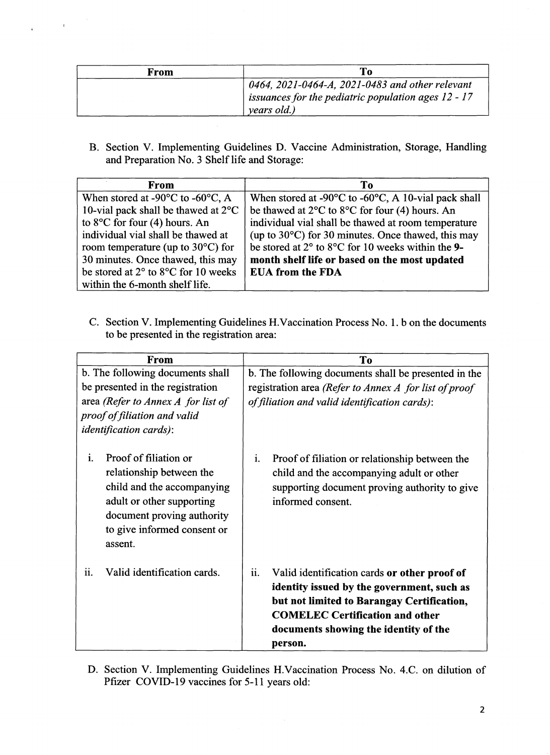| From | To                                                                                                     |
|------|--------------------------------------------------------------------------------------------------------|
|      | 0464, 2021-0464-A, 2021-0483 and other relevant<br>issuances for the pediatric population ages 12 - 17 |
|      | years old.)                                                                                            |

 $\hat{\mathbf{r}}$ 

 $\mathbf{r}$ 

B. Section V. Implementing Guidelines D. Vaccine Administration, Storage, Handling and Preparation No. <sup>3</sup> Shelf life and Storage:

| From                                                            | To                                                                                 |
|-----------------------------------------------------------------|------------------------------------------------------------------------------------|
| When stored at -90 $\rm{^{\circ}C}$ to -60 $\rm{^{\circ}C}$ , A | When stored at -90 $\rm{^{\circ}C}$ to -60 $\rm{^{\circ}C}$ , A 10-vial pack shall |
| 10-vial pack shall be thawed at $2^{\circ}C$                    | be thawed at $2^{\circ}$ C to $8^{\circ}$ C for four (4) hours. An                 |
| to $8^{\circ}$ C for four (4) hours. An                         | individual vial shall be thawed at room temperature                                |
| individual vial shall be thawed at                              | (up to 30°C) for 30 minutes. Once thawed, this may                                 |
| room temperature (up to $30^{\circ}$ C) for                     | be stored at $2^{\circ}$ to $8^{\circ}$ C for 10 weeks within the 9-               |
| 30 minutes. Once thawed, this may                               | month shelf life or based on the most updated                                      |
| be stored at 2° to 8°C for 10 weeks                             | <b>EUA from the FDA</b>                                                            |
| within the 6-month shelf life.                                  |                                                                                    |

C. Section V. Implementing Guidelines H.Vaccination Process No. 1. b on the documents to be presented in the registration area:

| From                                                                                                                                                                                       | T <sub>o</sub>                                                                                                                                                                                                                                |
|--------------------------------------------------------------------------------------------------------------------------------------------------------------------------------------------|-----------------------------------------------------------------------------------------------------------------------------------------------------------------------------------------------------------------------------------------------|
| b. The following documents shall                                                                                                                                                           | b. The following documents shall be presented in the                                                                                                                                                                                          |
| be presented in the registration                                                                                                                                                           | registration area (Refer to Annex A for list of proof                                                                                                                                                                                         |
| area (Refer to Annex A for list of                                                                                                                                                         | of filiation and valid identification cards):                                                                                                                                                                                                 |
| proof of filiation and valid                                                                                                                                                               |                                                                                                                                                                                                                                               |
| <i>identification cards)</i> :                                                                                                                                                             |                                                                                                                                                                                                                                               |
| i.<br>Proof of filiation or<br>relationship between the<br>child and the accompanying<br>adult or other supporting<br>document proving authority<br>to give informed consent or<br>assent. | i.<br>Proof of filiation or relationship between the<br>child and the accompanying adult or other<br>supporting document proving authority to give<br>informed consent.                                                                       |
| ii.<br>Valid identification cards.                                                                                                                                                         | ii.<br>Valid identification cards or other proof of<br>identity issued by the government, such as<br>but not limited to Barangay Certification,<br><b>COMELEC Certification and other</b><br>documents showing the identity of the<br>person. |

D. Section V. Implementing Guidelines H.Vaccination Process No. 4.C. on dilution of Pfizer COVID-19 vaccines for 5-11 years old: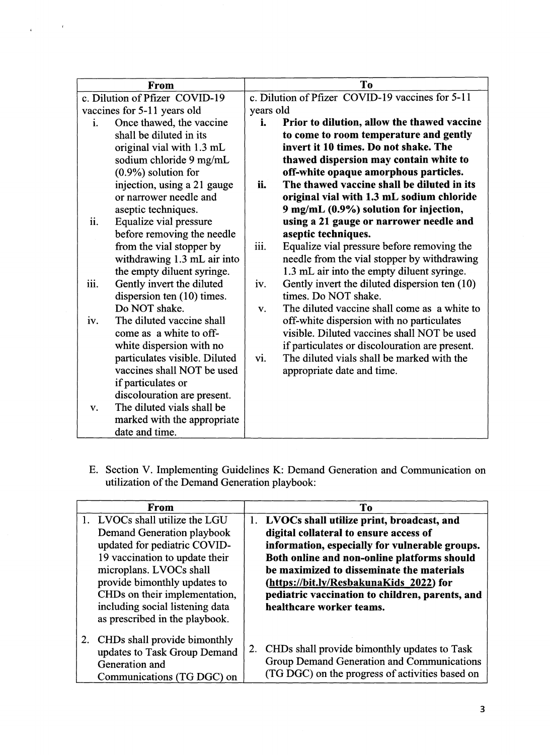| From                              | To                                                   |  |  |
|-----------------------------------|------------------------------------------------------|--|--|
| c. Dilution of Pfizer COVID-19    | c. Dilution of Pfizer COVID-19 vaccines for 5-11     |  |  |
| vaccines for 5-11 years old       | years old                                            |  |  |
| Once thawed, the vaccine<br>i.    | i.<br>Prior to dilution, allow the thawed vaccine    |  |  |
| shall be diluted in its           | to come to room temperature and gently               |  |  |
| original vial with 1.3 mL         | invert it 10 times. Do not shake. The                |  |  |
| sodium chloride 9 mg/mL           | thawed dispersion may contain white to               |  |  |
| $(0.9\%)$ solution for            | off-white opaque amorphous particles.                |  |  |
| injection, using a 21 gauge       | The thawed vaccine shall be diluted in its<br>ii.    |  |  |
| or narrower needle and            | original vial with 1.3 mL sodium chloride            |  |  |
| aseptic techniques.               | 9 mg/mL (0.9%) solution for injection,               |  |  |
| ii.<br>Equalize vial pressure     | using a 21 gauge or narrower needle and              |  |  |
| before removing the needle        | aseptic techniques.                                  |  |  |
| from the vial stopper by          | iii.<br>Equalize vial pressure before removing the   |  |  |
| withdrawing 1.3 mL air into       | needle from the vial stopper by withdrawing          |  |  |
| the empty diluent syringe.        | 1.3 mL air into the empty diluent syringe.           |  |  |
| Gently invert the diluted<br>iii. | Gently invert the diluted dispersion ten (10)<br>iv. |  |  |
| dispersion ten $(10)$ times.      | times. Do NOT shake.                                 |  |  |
| Do NOT shake.                     | The diluted vaccine shall come as a white to<br>V.   |  |  |
| The diluted vaccine shall<br>iv.  | off-white dispersion with no particulates            |  |  |
| come as a white to off-           | visible. Diluted vaccines shall NOT be used          |  |  |
| white dispersion with no          | if particulates or discolouration are present.       |  |  |
| particulates visible. Diluted     | The diluted vials shall be marked with the<br>vi.    |  |  |
| vaccines shall NOT be used        | appropriate date and time.                           |  |  |
| if particulates or                |                                                      |  |  |
| discolouration are present.       |                                                      |  |  |
| The diluted vials shall be<br>V.  |                                                      |  |  |
| marked with the appropriate       |                                                      |  |  |
| date and time.                    |                                                      |  |  |

 $\mathbf{r}$ 

 $\bar{\bf r}$ 

E. Section V. Implementing Guidelines K: Demand Generation and Communication on utilization of the Demand Generation playbook:

| <b>From</b>                                                                                                     | To                                                                                                                                                  |
|-----------------------------------------------------------------------------------------------------------------|-----------------------------------------------------------------------------------------------------------------------------------------------------|
| 1. LVOCs shall utilize the LGU                                                                                  | 1. LVOCs shall utilize print, broadcast, and                                                                                                        |
| Demand Generation playbook                                                                                      | digital collateral to ensure access of                                                                                                              |
| updated for pediatric COVID-                                                                                    | information, especially for vulnerable groups.                                                                                                      |
| 19 vaccination to update their                                                                                  | Both online and non-online platforms should                                                                                                         |
| microplans. LVOCs shall                                                                                         | be maximized to disseminate the materials                                                                                                           |
| provide bimonthly updates to                                                                                    | (https://bit.ly/ResbakunaKids 2022) for                                                                                                             |
| CHDs on their implementation,                                                                                   | pediatric vaccination to children, parents, and                                                                                                     |
| including social listening data                                                                                 | healthcare worker teams.                                                                                                                            |
| as prescribed in the playbook.                                                                                  |                                                                                                                                                     |
| CHDs shall provide bimonthly<br>2.<br>updates to Task Group Demand<br>Generation and<br>Communications (TG DGC) | CHDs shall provide bimonthly updates to Task<br>2.<br>Group Demand Generation and Communications<br>(TG DGC) on the progress of activities based on |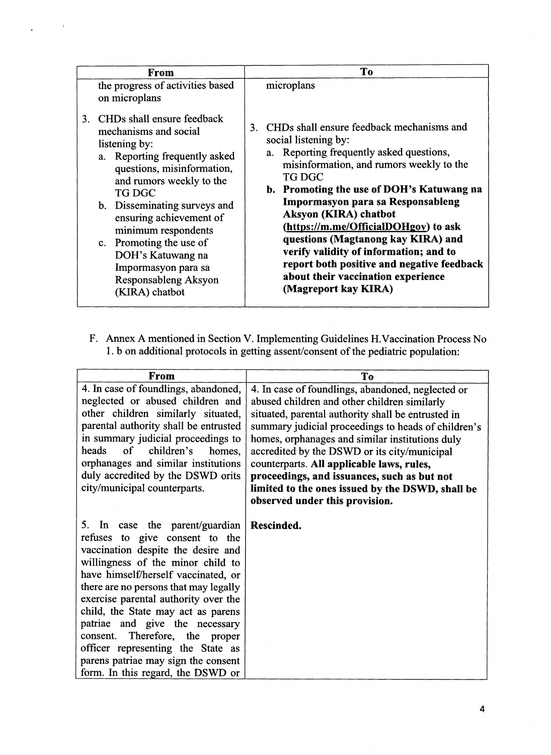| From                                                                                                                                                                                                                                        | To                                                                                                                                                                                                                                |
|---------------------------------------------------------------------------------------------------------------------------------------------------------------------------------------------------------------------------------------------|-----------------------------------------------------------------------------------------------------------------------------------------------------------------------------------------------------------------------------------|
| the progress of activities based<br>on microplans<br>CHDs shall ensure feedback<br>3.<br>mechanisms and social<br>listening by:<br>a. Reporting frequently asked<br>questions, misinformation,<br>and rumors weekly to the<br><b>TG DGC</b> | microplans<br>3. CHDs shall ensure feedback mechanisms and<br>social listening by:<br>a. Reporting frequently asked questions,<br>misinformation, and rumors weekly to the<br>TG DGC<br>b. Promoting the use of DOH's Katuwang na |
| b. Disseminating surveys and                                                                                                                                                                                                                | Impormasyon para sa Responsableng                                                                                                                                                                                                 |
| ensuring achievement of                                                                                                                                                                                                                     | Aksyon (KIRA) chatbot                                                                                                                                                                                                             |
| minimum respondents                                                                                                                                                                                                                         | (https://m.me/OfficialDOHgov) to ask                                                                                                                                                                                              |
| c. Promoting the use of                                                                                                                                                                                                                     | questions (Magtanong kay KIRA) and                                                                                                                                                                                                |
| DOH's Katuwang na                                                                                                                                                                                                                           | verify validity of information; and to                                                                                                                                                                                            |
| Impormasyon para sa                                                                                                                                                                                                                         | report both positive and negative feedback                                                                                                                                                                                        |
| Responsableng Aksyon                                                                                                                                                                                                                        | about their vaccination experience                                                                                                                                                                                                |
| (KIRA) chatbot                                                                                                                                                                                                                              | (Magreport kay KIRA)                                                                                                                                                                                                              |

| T <sub>o</sub><br>From<br>the progress of activities based<br>microplans<br>on microplans<br>3. CHDs shall ensure feedback<br>3. CHDs shall ensure feedback mechanisms and<br>mechanisms and social<br>social listening by:<br>listening by:<br>a. Reporting frequently asked questions,<br>a. Reporting frequently asked<br>misinformation, and rumors weekly to the<br>questions, misinformation,<br><b>TG DGC</b><br>and rumors weekly to the<br><b>TG DGC</b><br>Impormasyon para sa Responsableng<br>b. Disseminating surveys and<br>Aksyon (KIRA) chatbot<br>ensuring achievement of<br>(https://m.me/OfficialDOHgov) to ask<br>minimum respondents<br>questions (Magtanong kay KIRA) and<br>c. Promoting the use of<br>verify validity of information; and to<br>DOH's Katuwang na<br>Impormasyon para sa<br>about their vaccination experience<br>Responsableng Aksyon<br>(Magreport kay KIRA)<br>(KIRA) chatbot<br>1. b on additional protocols in getting assent/consent of the pediatric population:<br>From<br><b>To</b><br>4. In case of foundlings, abandoned,<br>4. In case of foundlings, abandoned, neglected or<br>neglected or abused children and<br>abused children and other children similarly<br>other children similarly situated,<br>situated, parental authority shall be entrusted in<br>parental authority shall be entrusted<br>in summary judicial proceedings to<br>homes, orphanages and similar institutions duly<br>heads<br>children's<br>of<br>homes,<br>accredited by the DSWD or its city/municipal<br>orphanages and similar institutions<br>counterparts. All applicable laws, rules,<br>duly accredited by the DSWD orits<br>proceedings, and issuances, such as but not<br>city/municipal counterparts.<br>observed under this provision.<br>5. In case the parent/guardian<br>Rescinded.<br>refuses to give consent to the<br>vaccination despite the desire and<br>willingness of the minor child to<br>have himself/herself vaccinated, or<br>there are no persons that may legally<br>exercise parental authority over the<br>child, the State may act as parens<br>patriae and give the necessary<br>consent. Therefore, the proper<br>officer representing the State as<br>parens patriae may sign the consent<br>form. In this regard, the DSWD or |  |  |
|------------------------------------------------------------------------------------------------------------------------------------------------------------------------------------------------------------------------------------------------------------------------------------------------------------------------------------------------------------------------------------------------------------------------------------------------------------------------------------------------------------------------------------------------------------------------------------------------------------------------------------------------------------------------------------------------------------------------------------------------------------------------------------------------------------------------------------------------------------------------------------------------------------------------------------------------------------------------------------------------------------------------------------------------------------------------------------------------------------------------------------------------------------------------------------------------------------------------------------------------------------------------------------------------------------------------------------------------------------------------------------------------------------------------------------------------------------------------------------------------------------------------------------------------------------------------------------------------------------------------------------------------------------------------------------------------------------------------------------------------------------------------------------------------------------------------------------------------------------------------------------------------------------------------------------------------------------------------------------------------------------------------------------------------------------------------------------------------------------------------------------------------------------------------------------------------------------------------------------------------------------------------------------------------------|--|--|
| b. Promoting the use of DOH's Katuwang na<br>report both positive and negative feedback<br>F. Annex A mentioned in Section V. Implementing Guidelines H. Vaccination Process No                                                                                                                                                                                                                                                                                                                                                                                                                                                                                                                                                                                                                                                                                                                                                                                                                                                                                                                                                                                                                                                                                                                                                                                                                                                                                                                                                                                                                                                                                                                                                                                                                                                                                                                                                                                                                                                                                                                                                                                                                                                                                                                      |  |  |
|                                                                                                                                                                                                                                                                                                                                                                                                                                                                                                                                                                                                                                                                                                                                                                                                                                                                                                                                                                                                                                                                                                                                                                                                                                                                                                                                                                                                                                                                                                                                                                                                                                                                                                                                                                                                                                                                                                                                                                                                                                                                                                                                                                                                                                                                                                      |  |  |
|                                                                                                                                                                                                                                                                                                                                                                                                                                                                                                                                                                                                                                                                                                                                                                                                                                                                                                                                                                                                                                                                                                                                                                                                                                                                                                                                                                                                                                                                                                                                                                                                                                                                                                                                                                                                                                                                                                                                                                                                                                                                                                                                                                                                                                                                                                      |  |  |
|                                                                                                                                                                                                                                                                                                                                                                                                                                                                                                                                                                                                                                                                                                                                                                                                                                                                                                                                                                                                                                                                                                                                                                                                                                                                                                                                                                                                                                                                                                                                                                                                                                                                                                                                                                                                                                                                                                                                                                                                                                                                                                                                                                                                                                                                                                      |  |  |
|                                                                                                                                                                                                                                                                                                                                                                                                                                                                                                                                                                                                                                                                                                                                                                                                                                                                                                                                                                                                                                                                                                                                                                                                                                                                                                                                                                                                                                                                                                                                                                                                                                                                                                                                                                                                                                                                                                                                                                                                                                                                                                                                                                                                                                                                                                      |  |  |
| summary judicial proceedings to heads of children's<br>limited to the ones issued by the DSWD, shall be                                                                                                                                                                                                                                                                                                                                                                                                                                                                                                                                                                                                                                                                                                                                                                                                                                                                                                                                                                                                                                                                                                                                                                                                                                                                                                                                                                                                                                                                                                                                                                                                                                                                                                                                                                                                                                                                                                                                                                                                                                                                                                                                                                                              |  |  |
|                                                                                                                                                                                                                                                                                                                                                                                                                                                                                                                                                                                                                                                                                                                                                                                                                                                                                                                                                                                                                                                                                                                                                                                                                                                                                                                                                                                                                                                                                                                                                                                                                                                                                                                                                                                                                                                                                                                                                                                                                                                                                                                                                                                                                                                                                                      |  |  |
|                                                                                                                                                                                                                                                                                                                                                                                                                                                                                                                                                                                                                                                                                                                                                                                                                                                                                                                                                                                                                                                                                                                                                                                                                                                                                                                                                                                                                                                                                                                                                                                                                                                                                                                                                                                                                                                                                                                                                                                                                                                                                                                                                                                                                                                                                                      |  |  |
|                                                                                                                                                                                                                                                                                                                                                                                                                                                                                                                                                                                                                                                                                                                                                                                                                                                                                                                                                                                                                                                                                                                                                                                                                                                                                                                                                                                                                                                                                                                                                                                                                                                                                                                                                                                                                                                                                                                                                                                                                                                                                                                                                                                                                                                                                                      |  |  |
|                                                                                                                                                                                                                                                                                                                                                                                                                                                                                                                                                                                                                                                                                                                                                                                                                                                                                                                                                                                                                                                                                                                                                                                                                                                                                                                                                                                                                                                                                                                                                                                                                                                                                                                                                                                                                                                                                                                                                                                                                                                                                                                                                                                                                                                                                                      |  |  |
|                                                                                                                                                                                                                                                                                                                                                                                                                                                                                                                                                                                                                                                                                                                                                                                                                                                                                                                                                                                                                                                                                                                                                                                                                                                                                                                                                                                                                                                                                                                                                                                                                                                                                                                                                                                                                                                                                                                                                                                                                                                                                                                                                                                                                                                                                                      |  |  |